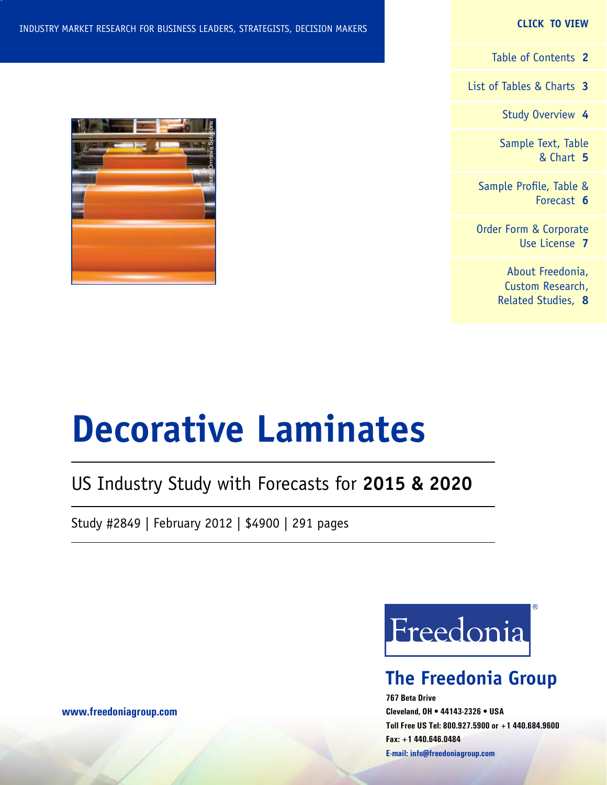#### **CLICK TO VIEW**

[Table of Contents](#page-1-0) **2**

[List of Tables & Charts](#page-2-0) **3**

[Study Overview](#page-3-0) **4**

[Sample Text, Table](#page-4-0) [& Chart](#page-4-0) **5**

[Sample Profile, Table &](#page-5-0) [Forecast](#page-5-0) **6**

[Order Form & Corporate](#page-6-0) [Use License](#page-6-0) **7**

> [About Freedonia,](#page-7-0) [Custom Research,](#page-7-0) [Related Studies,](#page-7-0) **8**

#### INDUSTRY MARKET RESEARCH FOR BUSINESS LEADERS, STRATEGISTS, DECISION MAKERS



## US Industry Study with Forecasts for **2015 & 2020**

Study #2849 | February 2012 | \$4900 | 291 pages



## **The Freedonia Group**

**767 Beta Drive Cleveland, OH • 44143-2326 • USA Toll Free US Tel: 800.927.5900 or +1 440.684.9600 Fax: +1 440.646.0484 E-mail: [info@freedoniagroup.com](mailto:info@freedoniagroup.com)**



**[www.freedoniagroup.com](http://www.freedoniagroup.com/Home.aspx?ReferrerId=FM-Bro)**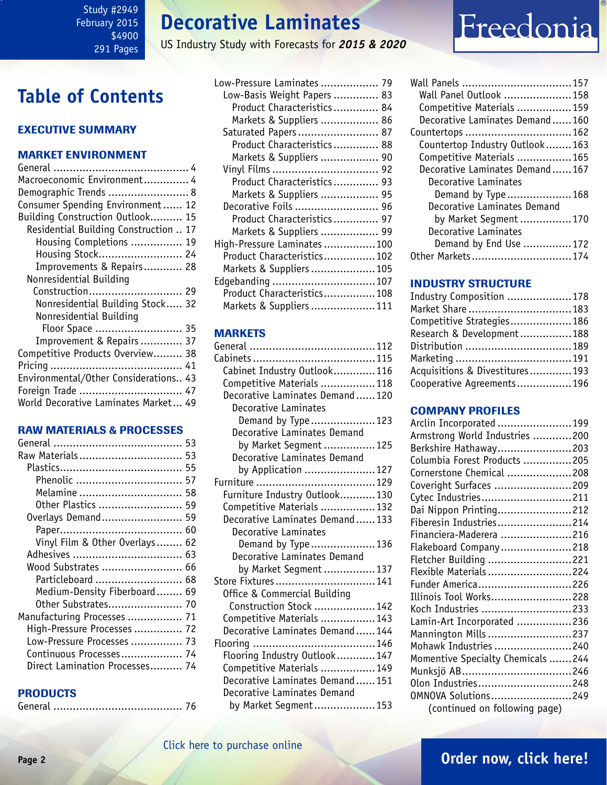# **Decorative Laminates**

US Industry Study with Forecasts for *2015 & 2020*

# Freedonia

# <span id="page-1-0"></span>**Table of Contents**

#### Executive Summary

#### Market EnvironmenT

| Macroeconomic Environment 4           |  |
|---------------------------------------|--|
| Demographic Trends  8                 |  |
| Consumer Spending Environment 12      |  |
| Building Construction Outlook 15      |  |
| Residential Building Construction  17 |  |
| Housing Completions  19               |  |
| Housing Stock 24                      |  |
| Improvements & Repairs 28             |  |
| Nonresidential Building               |  |
| Construction 29                       |  |
| Nonresidential Building Stock 32      |  |
| Nonresidential Building               |  |
| Floor Space  35                       |  |
| Improvement & Repairs 37              |  |
| Competitive Products Overview 38      |  |
|                                       |  |
| Environmental/Other Considerations 43 |  |
| Foreign Trade  47                     |  |
| World Decorative Laminates Market 49  |  |
|                                       |  |

#### RAW MATERIALS & PROCESSES

| Raw Materials 53               |  |
|--------------------------------|--|
|                                |  |
| Phenolic  57                   |  |
| Melamine  58                   |  |
| 0ther Plastics  59             |  |
| Overlays Demand 59             |  |
|                                |  |
| Vinyl Film & Other Overlays 62 |  |
|                                |  |
| Wood Substrates  66            |  |
| Particleboard  68              |  |
| Medium-Density Fiberboard 69   |  |
| Other Substrates 70            |  |
| Manufacturing Processes  71    |  |
| High-Pressure Processes  72    |  |
| Low-Pressure Processes  73     |  |
| Continuous Processes 74        |  |
| Direct Lamination Processes 74 |  |

#### **PRODUCTS**

|--|--|--|

| Low-Pressure Laminates  79  |  |
|-----------------------------|--|
| Low-Basis Weight Papers  83 |  |
| Product Characteristics 84  |  |
| Markets & Suppliers  86     |  |
| Saturated Papers 87         |  |
| Product Characteristics 88  |  |
| Markets & Suppliers  90     |  |
|                             |  |
| Product Characteristics 93  |  |
| Markets & Suppliers  95     |  |
| Decorative Foils  96        |  |
| Product Characteristics 97  |  |
| Markets & Suppliers  99     |  |
| High-Pressure Laminates 100 |  |
| Product Characteristics 102 |  |
| Markets & Suppliers 105     |  |
| Edgebanding  107            |  |
| Product Characteristics108  |  |
| Markets & Suppliers 111     |  |

#### MARKETS

| Cabinet Industry Outlook116    |  |
|--------------------------------|--|
| Competitive Materials 118      |  |
| Decorative Laminates Demand120 |  |
| Decorative Laminates           |  |
| Demand by Type123              |  |
| Decorative Laminates Demand    |  |
| by Market Segment  125         |  |
| Decorative Laminates Demand    |  |
| by Application 127             |  |
|                                |  |
| Furniture Industry Outlook130  |  |
| Competitive Materials 132      |  |
| Decorative Laminates Demand133 |  |
| Decorative Laminates           |  |
| Demand by Type136              |  |
| Decorative Laminates Demand    |  |
| by Market Segment 137          |  |
| Store Fixtures141              |  |
| Office & Commercial Building   |  |
| Construction Stock 142         |  |
| Competitive Materials 143      |  |
| Decorative Laminates Demand144 |  |
|                                |  |
| Flooring Industry Outlook147   |  |
| Competitive Materials 149      |  |
| Decorative Laminates Demand151 |  |
| Decorative Laminates Demand    |  |
| by Market Segment153           |  |

| Wall Panel Outlook 158<br>Competitive Materials 159 |  |
|-----------------------------------------------------|--|
|                                                     |  |
|                                                     |  |
| Decorative Laminates Demand160                      |  |
| Countertops  162                                    |  |
| Countertop Industry Outlook163                      |  |
| Competitive Materials  165                          |  |
| Decorative Laminates Demand167                      |  |
| Decorative Laminates                                |  |
| Demand by Type168                                   |  |
| Decorative Laminates Demand                         |  |
| by Market Seqment 170                               |  |
| Decorative Laminates                                |  |
| Demand by End Use 172                               |  |
| Other Markets174                                    |  |

#### INDUSTRY STRUCTURE

| Industry Composition 178       |  |
|--------------------------------|--|
| Market Share  183              |  |
| Competitive Strategies 186     |  |
| Research & Development188      |  |
|                                |  |
|                                |  |
| Acquisitions & Divestitures193 |  |
| Cooperative Agreements196      |  |

#### Company Profiles

| Arclin Incorporated 199           |  |
|-----------------------------------|--|
| Armstrong World Industries 200    |  |
| Berkshire Hathaway203             |  |
|                                   |  |
| Columbia Forest Products 205      |  |
| Cornerstone Chemical 208          |  |
| Coveright Surfaces 209            |  |
| Cytec Industries211               |  |
| Dai Nippon Printing212            |  |
| Fiberesin Industries214           |  |
| Financiera-Maderera 216           |  |
| Flakeboard Company218             |  |
| Fletcher Building 221             |  |
| Flexible Materials224             |  |
| Funder America226                 |  |
| Illinois Tool Works228            |  |
| Koch Industries 233               |  |
| Lamin-Art Incorporated 236        |  |
| Mannington Mills 237              |  |
| Mohawk Industries 240             |  |
| Momentive Specialty Chemicals 244 |  |
| Munksjö AB246                     |  |
| Olon Industries248                |  |
| 0MNOVA Solutions249               |  |
| (continued on following page)     |  |
|                                   |  |

### **Page 2 [Order now, click here!](#page-6-0)**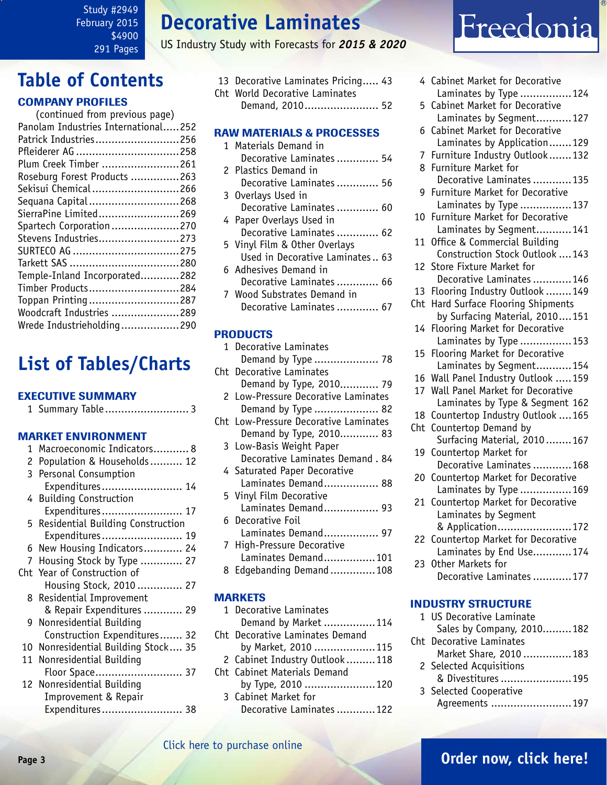Study #2949 February 2015 \$4900 291 Pages

# **Decorative Laminates**

US Industry Study with Forecasts for *2015 & 2020*

# <span id="page-2-0"></span>**Table of Contents**

#### Company Profiles

| (continued from previous page)      |  |
|-------------------------------------|--|
| Panolam Industries International252 |  |
| Patrick Industries256               |  |
| Pfleiderer AG 258                   |  |
| Plum Creek Timber 261               |  |
| Roseburg Forest Products 263        |  |
| Sekisui Chemical 266                |  |
| Sequana Capital268                  |  |
| SierraPine Limited269               |  |
| Spartech Corporation270             |  |
| Stevens Industries273               |  |
|                                     |  |
|                                     |  |
| Temple-Inland Incorporated282       |  |
| Timber Products284                  |  |
| Toppan Printing287                  |  |
| Woodcraft Industries 289            |  |
| Wrede Industrieholding290           |  |
|                                     |  |

# **List of Tables/Charts**

#### Executive Summary

|--|--|--|--|

#### Market EnvironmenT

| 1 | Macroeconomic Indicators 8          |
|---|-------------------------------------|
| 2 | Population & Households 12          |
|   | 3 Personal Consumption              |
|   | Expenditures 14                     |
|   | 4 Building Construction             |
|   | Expenditures 17                     |
|   | 5 Residential Building Construction |
|   | Expenditures 19                     |
|   | 6 New Housing Indicators 24         |
| 7 | Housing Stock by Type  27           |
|   | Cht Year of Construction of         |
|   | Housing Stock, 2010 27              |
|   | 8 Residential Improvement           |
|   | & Repair Expenditures  29           |
|   | 9 Nonresidential Building           |
|   | Construction Expenditures 32        |
|   | 10 Nonresidential Building Stock 35 |
|   | 11 Nonresidential Building          |
|   | Floor Space 37                      |
|   | 12 Nonresidential Building          |
|   | Improvement & Repair                |
|   | Expenditures 38                     |

- 13 Decorative Laminates Pricing..... 43 Cht World Decorative Laminates
	- Demand, 2010....................... 52

#### RAW MATERIALS & PROCESSES

|  | 1 Materials Demand in           |  |
|--|---------------------------------|--|
|  | Decorative Laminates  54        |  |
|  | 2 Plastics Demand in            |  |
|  | Decorative Laminates  56        |  |
|  | 3 Overlays Used in              |  |
|  | Decorative Laminates  60        |  |
|  | 4 Paper Overlays Used in        |  |
|  | Decorative Laminates  62        |  |
|  | 5 Vinyl Film & Other Overlays   |  |
|  | Used in Decorative Laminates 63 |  |
|  | 6 Adhesives Demand in           |  |
|  | Decorative Laminates  66        |  |
|  | 7 Wood Substrates Demand in     |  |
|  | Decorative Laminates  6         |  |
|  |                                 |  |

#### **PRODUCTS**

|   | 1 Decorative Laminates                |
|---|---------------------------------------|
|   | Demand by Type  78                    |
|   | Cht Decorative Laminates              |
|   | Demand by Type, 2010 79               |
|   | 2 Low-Pressure Decorative Laminates   |
|   | Demand by Type  82                    |
|   | Cht Low-Pressure Decorative Laminates |
|   | Demand by Type, 2010 83               |
|   | 3 Low-Basis Weight Paper              |
|   | Decorative Laminates Demand. 84       |
|   | 4 Saturated Paper Decorative          |
|   | Laminates Demand 88                   |
|   | 5 Vinyl Film Decorative               |
|   | Laminates Demand 93                   |
|   | 6 Decorative Foil                     |
|   | Laminates Demand 97                   |
|   | 7 High-Pressure Decorative            |
|   | Laminates Demand101                   |
| 8 | Edgebanding Demand108                 |

#### **MARKETS**

| 1 Decorative Laminates          |                                                                                              |
|---------------------------------|----------------------------------------------------------------------------------------------|
|                                 |                                                                                              |
| Cht Decorative Laminates Demand |                                                                                              |
|                                 |                                                                                              |
| 2 Cabinet Industry Outlook 118  |                                                                                              |
| Cht Cabinet Materials Demand    |                                                                                              |
|                                 |                                                                                              |
| 3 Cabinet Market for            |                                                                                              |
|                                 |                                                                                              |
|                                 | Demand by Market 114<br>by Market, 2010 115<br>by Type, 2010 120<br>Decorative Laminates 122 |

# Freedonia

|     | 4 Cabinet Market for Decorative                                 |
|-----|-----------------------------------------------------------------|
|     | Laminates by Type 124                                           |
| 5   | Cabinet Market for Decorative                                   |
|     | Laminates by Segment127                                         |
| 6   | Cabinet Market for Decorative                                   |
|     | Laminates by Application129                                     |
| 7   | Furniture Industry Outlook132                                   |
| 8   | Furniture Market for                                            |
|     | Decorative Laminates 135                                        |
| 9   | Furniture Market for Decorative                                 |
|     | Laminates by Type 137                                           |
| 10  | Furniture Market for Decorative                                 |
|     | Laminates by Segment141                                         |
| 11  | Office & Commercial Building<br>Construction Stock Outlook  143 |
|     | 12 Store Fixture Market for                                     |
|     | Decorative Laminates 146                                        |
| 13  | Flooring Industry Outlook  149                                  |
| Cht | Hard Surface Flooring Shipments                                 |
|     | by Surfacing Material, 2010151                                  |
| 14  | Flooring Market for Decorative                                  |
|     | Laminates by Type 153                                           |
| 15  | Flooring Market for Decorative                                  |
|     | Laminates by Segment154                                         |
| 16  | Wall Panel Industry Outlook 159                                 |
| 17  | Wall Panel Market for Decorative                                |
|     | Laminates by Type & Segment 162                                 |
| 18  | Countertop Industry Outlook  165                                |
| Cht | Countertop Demand by                                            |
|     | Surfacing Material, 2010167                                     |
| 19  | Countertop Market for                                           |
|     | Decorative Laminates 168                                        |
| 20  | Countertop Market for Decorative                                |
|     | Laminates by Type 169                                           |
| 21  | Countertop Market for Decorative                                |
|     | Laminates by Segment                                            |
|     | & Application172                                                |
| 22  | Countertop Market for Decorative                                |
|     | Laminates by End Use174                                         |
| 23  | Other Markets for                                               |
|     | Decorative Laminates 177                                        |
|     |                                                                 |
|     | <b>INDUSTRY STRUCTURE</b>                                       |
| 1   | <b>US Decorative Laminate</b>                                   |

| 1 UJ DELUIALIVE LAIIIIIALE |  |
|----------------------------|--|
| Sales by Company, 2010182  |  |
| Cht Decorative Laminates   |  |
| Market Share, 2010 183     |  |
| 2 Selected Acquisitions    |  |
| & Divestitures 195         |  |
| 3 Selected Cooperative     |  |
| Agreements 197             |  |

#### **Page 3 [Order now, click here!](#page-6-0)** [Click here to purchase online](http://www.freedoniagroup.com/DocumentDetails.aspx?Referrerid=FM-Bro&StudyID=2849)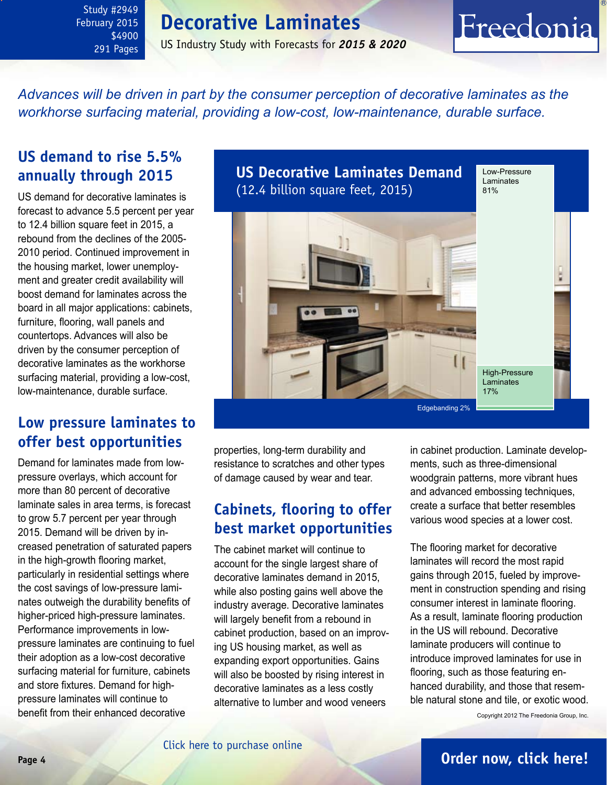<span id="page-3-0"></span>Study #2949 February 2015 \$4900 291 Pages

### **Decorative Laminates**

US Industry Study with Forecasts for *2015 & 2020*

# Freedonia

*Advances will be driven in part by the consumer perception of decorative laminates as the workhorse surfacing material, providing a low-cost, low-maintenance, durable surface.* 

### **US demand to rise 5.5% annually through 2015**

US demand for decorative laminates is forecast to advance 5.5 percent per year to 12.4 billion square feet in 2015, a rebound from the declines of the 2005- 2010 period. Continued improvement in the housing market, lower unemployment and greater credit availability will boost demand for laminates across the board in all major applications: cabinets, furniture, flooring, wall panels and countertops. Advances will also be driven by the consumer perception of decorative laminates as the workhorse surfacing material, providing a low-cost, low-maintenance, durable surface.

### **Low pressure laminates to offer best opportunities**

Demand for laminates made from lowpressure overlays, which account for more than 80 percent of decorative laminate sales in area terms, is forecast to grow 5.7 percent per year through 2015. Demand will be driven by increased penetration of saturated papers in the high-growth flooring market, particularly in residential settings where the cost savings of low-pressure laminates outweigh the durability benefits of higher-priced high-pressure laminates. Performance improvements in lowpressure laminates are continuing to fuel their adoption as a low-cost decorative surfacing material for furniture, cabinets and store fixtures. Demand for highpressure laminates will continue to benefit from their enhanced decorative



properties, long-term durability and resistance to scratches and other types of damage caused by wear and tear.

### **Cabinets, flooring to offer best market opportunities**

The cabinet market will continue to account for the single largest share of decorative laminates demand in 2015, while also posting gains well above the industry average. Decorative laminates will largely benefit from a rebound in cabinet production, based on an improving US housing market, as well as expanding export opportunities. Gains will also be boosted by rising interest in decorative laminates as a less costly alternative to lumber and wood veneers

in cabinet production. Laminate developments, such as three-dimensional woodgrain patterns, more vibrant hues and advanced embossing techniques, create a surface that better resembles various wood species at a lower cost.

The flooring market for decorative laminates will record the most rapid gains through 2015, fueled by improvement in construction spending and rising consumer interest in laminate flooring. As a result, laminate flooring production in the US will rebound. Decorative laminate producers will continue to introduce improved laminates for use in flooring, such as those featuring enhanced durability, and those that resemble natural stone and tile, or exotic wood.

Copyright 2012 The Freedonia Group, Inc.

### **Page 4 [Order now, click here!](#page-6-0)**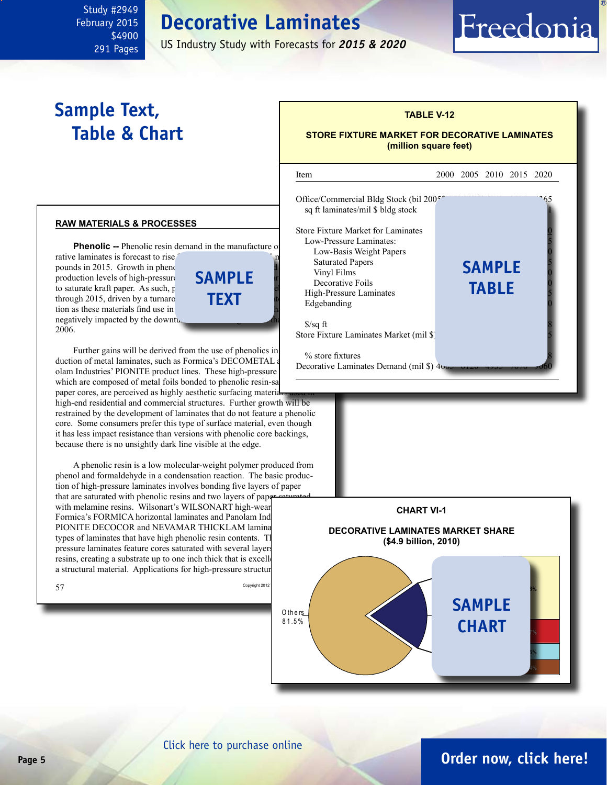# **Decorative Laminates**

US Industry Study with Forecasts for *2015 & 2020*

l

# **Sample Text, Table & Chart**

<span id="page-4-0"></span>Study #2949 February 2015

> \$4900 291 Pages

#### **raw materials & processes**

**Phenolic --** Phenolic resin demand in the manufacture of rative laminates is forecast to rise. pounds in 2015. Growth in phenol production levels of high-pressure to saturate kraft paper. As such,  $p$ through 2015, driven by a turnaro tion as these materials find use in negatively impacted by the downturn of the housing matrix  $\frac{1}{\sqrt{2}}$  and  $\frac{1}{\sqrt{2}}$  in the housing matrix matrix  $\frac{1}{\sqrt{2}}$  is the housing matrix of the housing matrix of the housing matrix of the housing matrix of 2006. **sample text**

Further gains will be derived from the use of phenolics in duction of metal laminates, such as Formica's DECOMETAL and olam Industries' PIONITE product lines. These high-pressure which are composed of metal foils bonded to phenolic resin-sa paper cores, are perceived as highly aesthetic surfacing materials high-end residential and commercial structures. Further growth will be

restrained by the development of laminates that do not feature a phenolic core. Some consumers prefer this type of surface material, even though it has less impact resistance than versions with phenolic core backings, because there is no unsightly dark line visible at the edge.

A phenolic resin is a low molecular-weight polymer produced from phenol and formaldehyde in a condensation reaction. The basic production of high-pressure laminates involves bonding five layers of paper that are saturated with phenolic resins and two layers of paper saturated with melamine resins. Wilsonart's WILSONART high-wear Formica's FORMICA horizontal laminates and Panolam Ind PIONITE DECOCOR and NEVAMAR THICKLAM lamina types of laminates that have high phenolic resin contents. These highpressure laminates feature cores saturated with several layers resins, creating a substrate up to one inch thick that is excellent for use as  $\alpha$ a structural material. Applications for high-pressure structur





### **TABLE V-12**

Freedonia

#### **STORE FIXTURE MARKET FOR DECORATIVE LAMINATES (million square feet)**

Item 2000 2005 2010 2015 2020

[Click here to purchase online](http://www.freedoniagroup.com/DocumentDetails.aspx?Referrerid=FM-Bro&StudyID=2849)

### **Page 5 [Order now, click here!](#page-6-0)**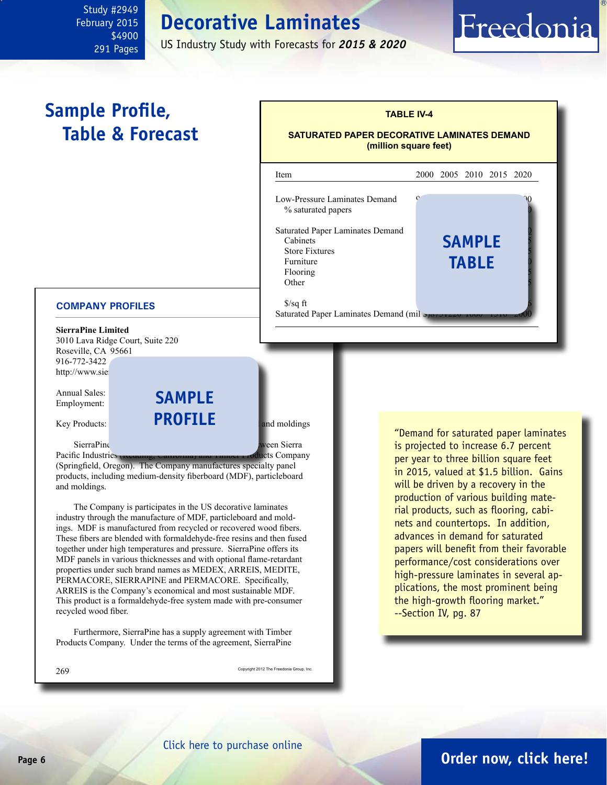## **Decorative Laminates**

US Industry Study with Forecasts for *2015 & 2020*

# **Sample Profile, Table & Forecast**

<span id="page-5-0"></span>Study #2949 February 2015

> \$4900 291 Pages



Saturated Paper Laminates Demand (mil  $\bullet$ 

#### **COMPANY PROFILES**

**SierraPine Limited** 3010 Lava Ridge Court, Suite 220 Roseville, CA 95661 916-772-3422 http://www.sie

Annual Sales: Employment:



SierraPine is a privately held limited partnership between Sierra

Pacific Industries (Redding, California) and Timber Products Company (Springfield, Oregon). The Company manufactures specialty panel products, including medium-density fiberboard (MDF), particleboard and moldings.

The Company is participates in the US decorative laminates industry through the manufacture of MDF, particleboard and moldings. MDF is manufactured from recycled or recovered wood fibers. These fibers are blended with formaldehyde-free resins and then fused together under high temperatures and pressure. SierraPine offers its MDF panels in various thicknesses and with optional flame-retardant properties under such brand names as MEDEX, ARREIS, MEDITE, PERMACORE, SIERRAPINE and PERMACORE. Specifically, ARREIS is the Company's economical and most sustainable MDF. This product is a formaldehyde-free system made with pre-consumer recycled wood fiber.

Furthermore, SierraPine has a supply agreement with Timber Products Company. Under the terms of the agreement, SierraPine

269 Copyright 2012 The Freedonia Group, Inc.

"Demand for saturated paper laminates is projected to increase 6.7 percent per year to three billion square feet in 2015, valued at \$1.5 billion. Gains will be driven by a recovery in the production of various building material products, such as flooring, cabinets and countertops. In addition, advances in demand for saturated papers will benefit from their favorable performance/cost considerations over high-pressure laminates in several applications, the most prominent being the high-growth flooring market." --Section IV, pg. 87

Freedonia

#### [Click here to purchase online](http://www.freedoniagroup.com/DocumentDetails.aspx?Referrerid=FM-Bro&StudyID=2849)

### **Page 6 [Order now, click here!](#page-6-0)**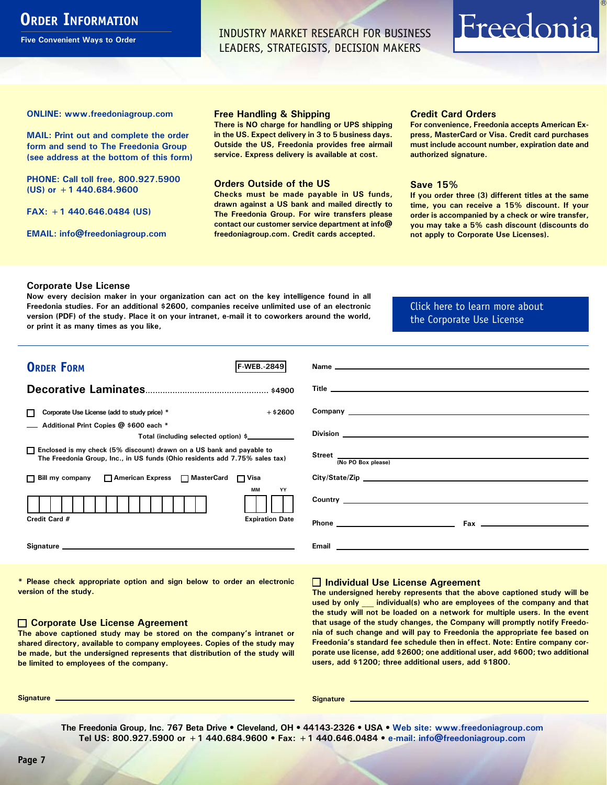## <span id="page-6-0"></span>**ORDER INFORMATION**

**Five Convenient Ways to Order**

INDUSTRY MARKET RESEARCH FOR BUSINESS LEADERS, STRATEGISTS, DECISION MAKERS

# Freedonia

**ONLINE: [www.freedoniagroup.com](http://www.freedoniagroup.com/DocumentDetails.aspx?Referrerid=FM-Bro&StudyID=2849)**

**MAIL: Print out and complete the order form and send to The Freedonia Group (see address at the bottom of this form)**

**PHONE: Call toll free, 800.927.5900 (US) or +1 440.684.9600**

**FAX: +1 440.646.0484 (US)**

**EMAIL: [info@freedoniagroup.com](mailto:info@freedoniagroup.com)**

#### **Free Handling & Shipping**

**There is NO charge for handling or UPS shipping in the US. Expect delivery in 3 to 5 business days. Outside the US, Freedonia provides free airmail service. Express delivery is available at cost.**

#### **Orders Outside of the US**

**Checks must be made payable in US funds, drawn against a US bank and mailed directly to The Freedonia Group. For wire transfers please contact our customer service department at info@ freedoniagroup.com. Credit cards accepted.**

#### **Credit Card Orders**

**For convenience, Freedonia accepts American Express, MasterCard or Visa. Credit card purchases must include account number, expiration date and authorized signature.**

#### **Save 15%**

**If you order three (3) different titles at the same time, you can receive a 15% discount. If your order is accompanied by a check or wire transfer, you may take a 5% cash discount (discounts do not apply to Corporate Use Licenses).**

#### **Corporate Use License**

**Now every decision maker in your organization can act on the key intelligence found in all Freedonia studies. For an additional \$2600, companies receive unlimited use of an electronic version (PDF) of the study. Place it on your intranet, e-mail it to coworkers around the world, or print it as many times as you like,** 

[Click here to learn more about](http://www.freedoniagroup.com/pdf/FreedoniaCULBro.pdf)  [the Corporate Use License](http://www.freedoniagroup.com/pdf/FreedoniaCULBro.pdf)

| <b>ORDER FORM</b><br><b>IF-WEB. 2849</b>                                                                                                                                                                                       |                                                                                                                                                                                                                                           |
|--------------------------------------------------------------------------------------------------------------------------------------------------------------------------------------------------------------------------------|-------------------------------------------------------------------------------------------------------------------------------------------------------------------------------------------------------------------------------------------|
|                                                                                                                                                                                                                                |                                                                                                                                                                                                                                           |
|                                                                                                                                                                                                                                |                                                                                                                                                                                                                                           |
| $+$ \$2600<br>Corporate Use License (add to study price) *                                                                                                                                                                     |                                                                                                                                                                                                                                           |
| Additional Print Copies @ \$600 each *                                                                                                                                                                                         |                                                                                                                                                                                                                                           |
| Total (including selected option) \$                                                                                                                                                                                           |                                                                                                                                                                                                                                           |
| □ Enclosed is my check (5% discount) drawn on a US bank and payable to<br>The Freedonia Group, Inc., in US funds (Ohio residents add 7.75% sales tax)                                                                          | Street (No PO Box please)                                                                                                                                                                                                                 |
|                                                                                                                                                                                                                                |                                                                                                                                                                                                                                           |
| □ Bill my company □ American Express □ MasterCard □ Visa                                                                                                                                                                       |                                                                                                                                                                                                                                           |
| <b>MM</b><br>YY                                                                                                                                                                                                                | <b>Country</b> <u>example and the set of the set of the set of the set of the set of the set of the set of the set of the set of the set of the set of the set of the set of the set of the set of the set of the set of the set of t</u> |
| Credit Card #<br><b>Expiration Date</b>                                                                                                                                                                                        |                                                                                                                                                                                                                                           |
| Signature experience and the state of the state of the state of the state of the state of the state of the state of the state of the state of the state of the state of the state of the state of the state of the state of th | Email<br><u> 1980 - Jan Samuel Barbara, martin a shekara 1980 - An tsara 1980 - An tsara 1980 - An tsara 1980 - An tsara</u>                                                                                                              |

**\* Please check appropriate option and sign below to order an electronic version of the study.**

#### **Corporate Use License Agreement**

**The above captioned study may be stored on the company's intranet or shared directory, available to company employees. Copies of the study may be made, but the undersigned represents that distribution of the study will be limited to employees of the company.**

#### **Individual Use License Agreement**

**The undersigned hereby represents that the above captioned study will be used by only \_\_\_ individual(s) who are employees of the company and that the study will not be loaded on a network for multiple users. In the event that usage of the study changes, the Company will promptly notify Freedonia of such change and will pay to Freedonia the appropriate fee based on Freedonia's standard fee schedule then in effect. Note: Entire company corporate use license, add \$2600; one additional user, add \$600; two additional users, add \$1200; three additional users, add \$1800.**

**Signature Signature**

**The Freedonia Group, Inc. 767 Beta Drive • Cleveland, OH • 44143-2326 • USA • [Web site: www.freedoniagroup.com](http://www.freedoniagroup.com/Home.aspx?ReferrerId=FM-Bro) Tel US: 800.927.5900 or +1 440.684.9600 • Fax: +1 440.646.0484 • [e-mail: info@freedoniagroup.com](mailto:info@freedoniagroup.com)**